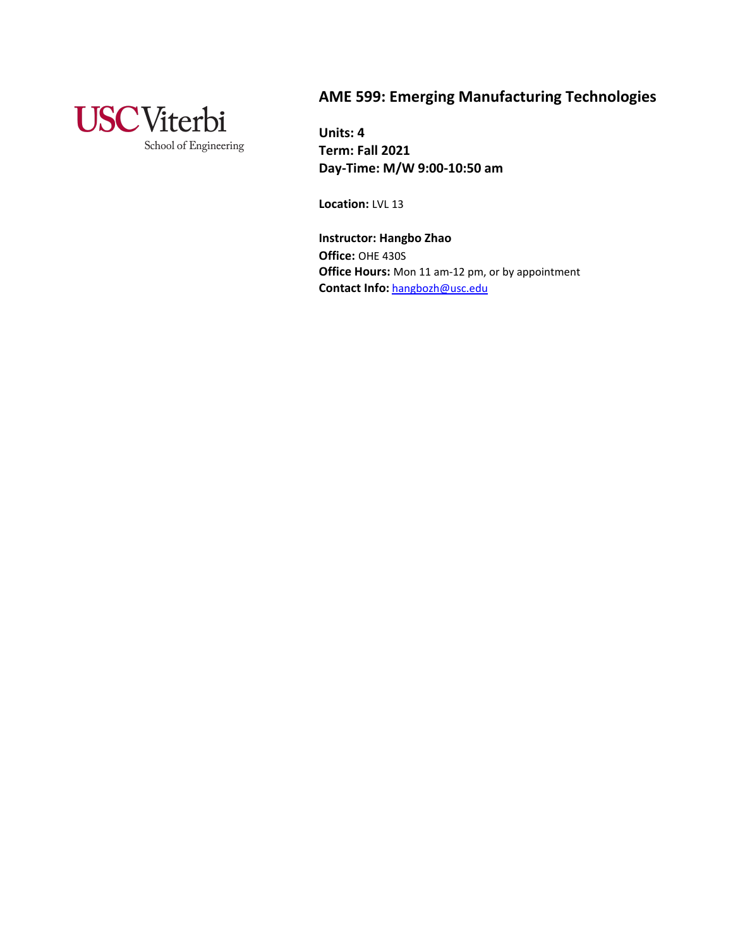

# **AME 599: Emerging Manufacturing Technologies**

**Units: 4 Term: Fall 2021 Day-Time: M/W 9:00-10:50 am**

**Location:** LVL 13

**Instructor: Hangbo Zhao Office:** OHE 430S **Office Hours:** Mon 11 am-12 pm, or by appointment **Contact Info:** [hangbozh@usc.edu](mailto:hangbozh@usc.edu)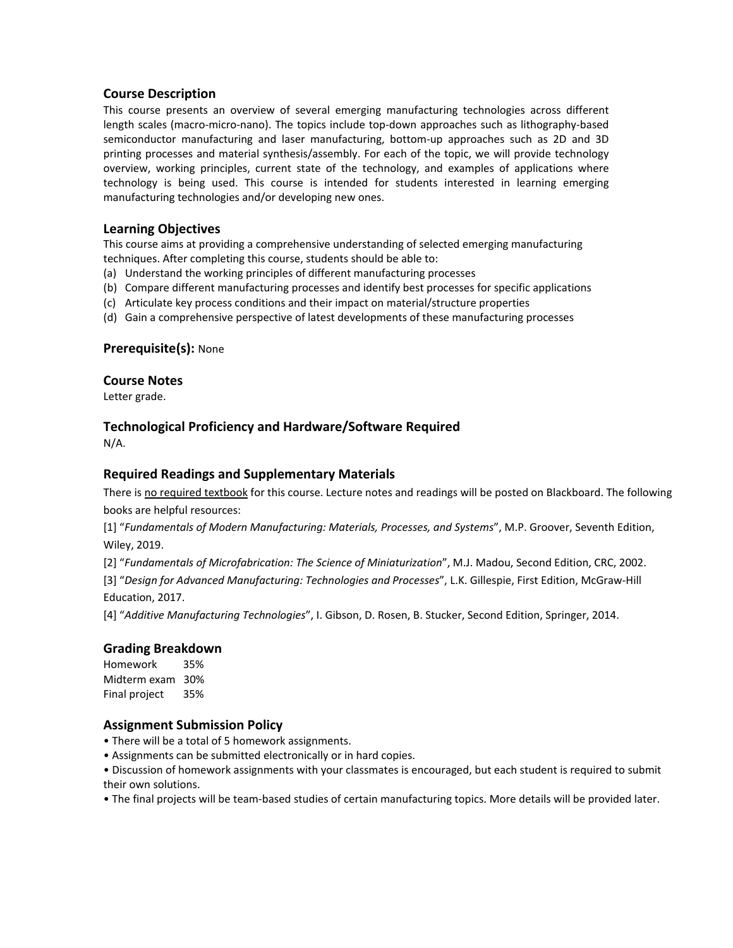### **Course Description**

This course presents an overview of several emerging manufacturing technologies across different length scales (macro-micro-nano). The topics include top-down approaches such as lithography-based semiconductor manufacturing and laser manufacturing, bottom-up approaches such as 2D and 3D printing processes and material synthesis/assembly. For each of the topic, we will provide technology overview, working principles, current state of the technology, and examples of applications where technology is being used. This course is intended for students interested in learning emerging manufacturing technologies and/or developing new ones.

### **Learning Objectives**

This course aims at providing a comprehensive understanding of selected emerging manufacturing techniques. After completing this course, students should be able to:

- (a) Understand the working principles of different manufacturing processes
- (b) Compare different manufacturing processes and identify best processes for specific applications
- (c) Articulate key process conditions and their impact on material/structure properties
- (d) Gain a comprehensive perspective of latest developments of these manufacturing processes

### **Prerequisite(s):** None

### **Course Notes**

Letter grade.

### **Technological Proficiency and Hardware/Software Required**

N/A.

### **Required Readings and Supplementary Materials**

There is no required textbook for this course. Lecture notes and readings will be posted on Blackboard. The following books are helpful resources:

[1] "*Fundamentals of Modern Manufacturing: Materials, Processes, and Systems*", M.P. Groover, Seventh Edition, Wiley, 2019.

[2] "*Fundamentals of Microfabrication: The Science of Miniaturization*", M.J. Madou, Second Edition, CRC, 2002.

[3] "*Design for Advanced Manufacturing: Technologies and Processes*", L.K. Gillespie, First Edition, McGraw-Hill Education, 2017.

[4] "*Additive Manufacturing Technologies*", I. Gibson, D. Rosen, B. Stucker, Second Edition, Springer, 2014.

### **Grading Breakdown**

Homework 35% Midterm exam 30% Final project 35%

### **Assignment Submission Policy**

- There will be a total of 5 homework assignments.
- Assignments can be submitted electronically or in hard copies.

• Discussion of homework assignments with your classmates is encouraged, but each student is required to submit their own solutions.

• The final projects will be team-based studies of certain manufacturing topics. More details will be provided later.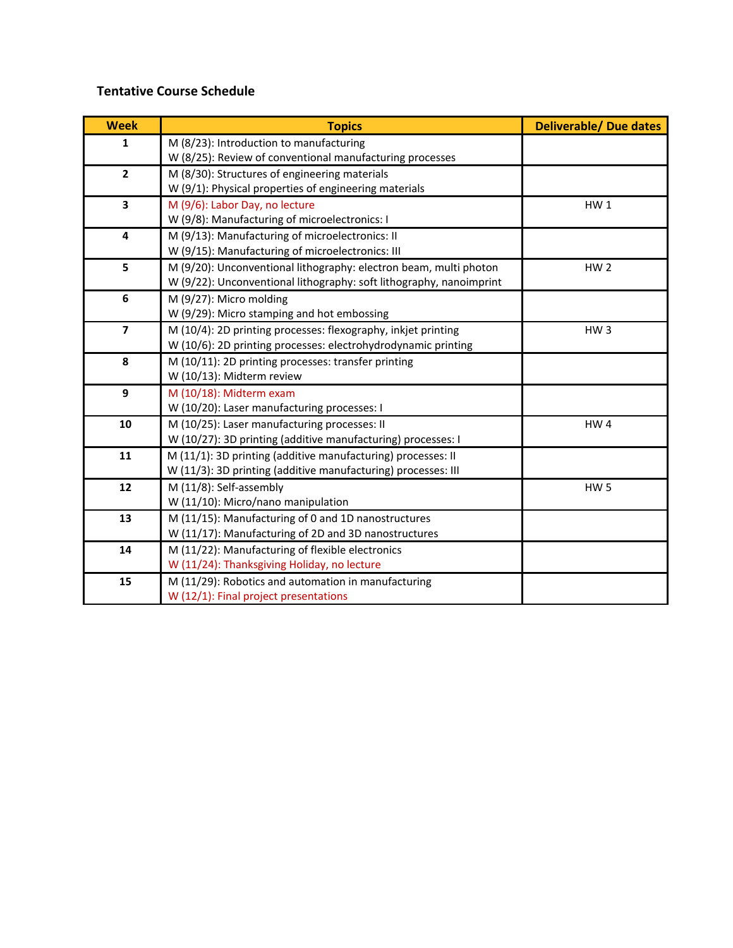## **Tentative Course Schedule**

| <b>Week</b>             | <b>Topics</b>                                                       | <b>Deliverable/ Due dates</b> |
|-------------------------|---------------------------------------------------------------------|-------------------------------|
| 1                       | M (8/23): Introduction to manufacturing                             |                               |
|                         | W (8/25): Review of conventional manufacturing processes            |                               |
| $\overline{2}$          | M (8/30): Structures of engineering materials                       |                               |
|                         | W (9/1): Physical properties of engineering materials               |                               |
| 3                       | M (9/6): Labor Day, no lecture                                      | HW <sub>1</sub>               |
|                         | W (9/8): Manufacturing of microelectronics: I                       |                               |
| 4                       | M (9/13): Manufacturing of microelectronics: II                     |                               |
|                         | W (9/15): Manufacturing of microelectronics: III                    |                               |
| 5                       | M (9/20): Unconventional lithography: electron beam, multi photon   | HW <sub>2</sub>               |
|                         | W (9/22): Unconventional lithography: soft lithography, nanoimprint |                               |
| 6                       | M (9/27): Micro molding                                             |                               |
|                         | W (9/29): Micro stamping and hot embossing                          |                               |
| $\overline{\mathbf{z}}$ | M (10/4): 2D printing processes: flexography, inkjet printing       | HW <sub>3</sub>               |
|                         | W (10/6): 2D printing processes: electrohydrodynamic printing       |                               |
| 8                       | M (10/11): 2D printing processes: transfer printing                 |                               |
|                         | W (10/13): Midterm review                                           |                               |
| 9                       | M (10/18): Midterm exam                                             |                               |
|                         | W (10/20): Laser manufacturing processes: I                         |                               |
| 10                      | M (10/25): Laser manufacturing processes: II                        | HW <sub>4</sub>               |
|                         | W (10/27): 3D printing (additive manufacturing) processes: I        |                               |
| 11                      | M (11/1): 3D printing (additive manufacturing) processes: II        |                               |
|                         | W (11/3): 3D printing (additive manufacturing) processes: III       |                               |
| 12                      | M (11/8): Self-assembly                                             | HW <sub>5</sub>               |
|                         | W (11/10): Micro/nano manipulation                                  |                               |
| 13                      | M (11/15): Manufacturing of 0 and 1D nanostructures                 |                               |
|                         | W (11/17): Manufacturing of 2D and 3D nanostructures                |                               |
| 14                      | M (11/22): Manufacturing of flexible electronics                    |                               |
|                         | W (11/24): Thanksgiving Holiday, no lecture                         |                               |
| 15                      | M (11/29): Robotics and automation in manufacturing                 |                               |
|                         | W (12/1): Final project presentations                               |                               |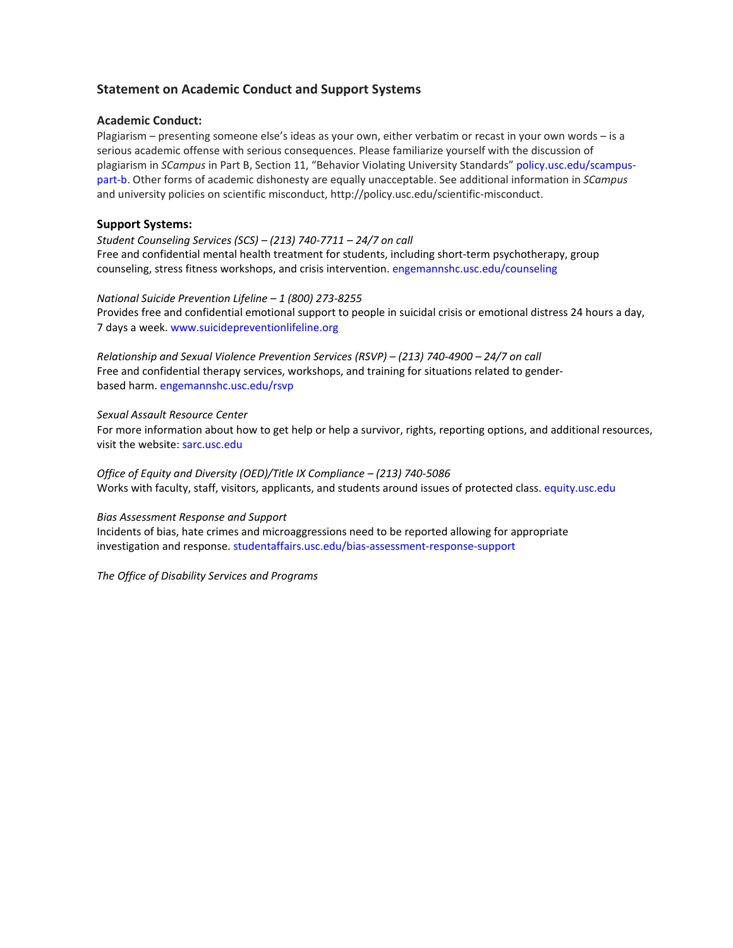### **Statement on Academic Conduct and Support Systems**

### **Academic Conduct:**

Plagiarism – presenting someone else's ideas as your own, either verbatim or recast in your own words – is a serious academic offense with serious consequences. Please familiarize yourself with the discussion of plagiarism in *SCampus* in Part B, Section 11, "Behavior Violating University Standards[" policy.usc.edu/scampus](https://policy.usc.edu/scampus-part-b/)[part-b. O](https://policy.usc.edu/scampus-part-b/)ther forms of academic dishonesty are equally unacceptable. See additional information in *SCampus*  and university policies on scientific misconduct, [http://policy.usc.edu/scientific-misconduct.](http://policy.usc.edu/scientific-misconduct)

### **Support Systems:**

*Student Counseling Services (SCS) – (213) 740-7711 – 24/7 on call* Free and confidential mental health treatment for students, including short-term psychotherapy, group counseling, stress fitness workshops, and crisis intervention. [engemannshc.usc.edu/counseling](https://engemannshc.usc.edu/counseling)

### *National Suicide Prevention Lifeline – 1 (800) 273-8255*

Provides free and confidential emotional support to people in suicidal crisis or emotional distress 24 hours a day, 7 days a week[. www.suicidepreventionlifeline.org](http://www.suicidepreventionlifeline.org/)

*Relationship and Sexual Violence Prevention Services (RSVP) – (213) 740-4900 – 24/7 on call* Free and confidential therapy services, workshops, and training for situations related to genderbased harm[. engemannshc.usc.edu/rsvp](https://engemannshc.usc.edu/rsvp/)

### *Sexual Assault Resource Center*

For more information about how to get help or help a survivor, rights, reporting options, and additional resources, visit the website[: sarc.usc.edu](http://sarc.usc.edu/)

*Office of Equity and Diversity (OED)/Title IX Compliance – (213) 740-5086* Works with faculty, staff, visitors, applicants, and students around issues of protected class. [equity.usc.edu](http://equity.usc.edu/)

### *Bias Assessment Response and Support*

Incidents of bias, hate crimes and microaggressions need to be reported allowing for appropriate investigation and response. [studentaffairs.usc.edu/bias-assessment-response-support](https://studentaffairs.usc.edu/bias-assessment-response-support/)

*The Office of Disability Services and Programs*